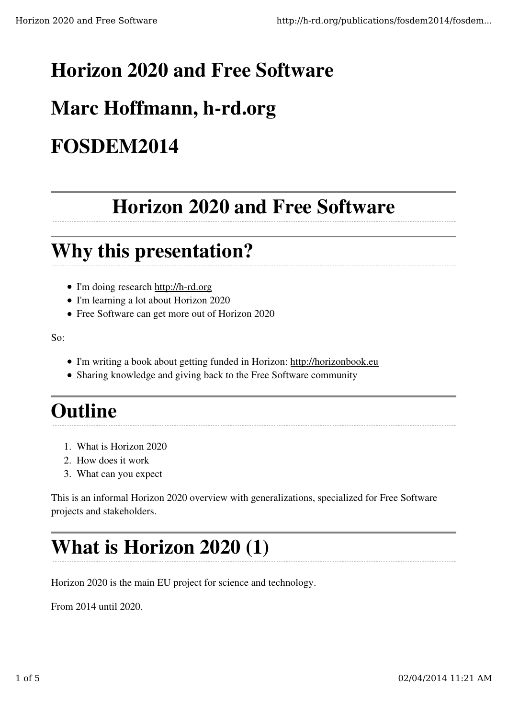### Horizon 2020 and Free Software

# Marc Hoffmann, h-rd.org

## FOSDEM2014

## Horizon 2020 and Free Software

### Why this presentation?

- I'm doing research http://h-rd.org
- I'm learning a lot about Horizon 2020
- Free Software can get more out of Horizon 2020

So:

- I'm writing a book about getting funded in Horizon: http://horizonbook.eu
- Sharing knowledge and giving back to the Free Software community

#### **Outline**

- 1. What is Horizon 2020
- 2. How does it work
- 3. What can you expect

This is an informal Horizon 2020 overview with generalizations, specialized for Free Software projects and stakeholders.

### What is Horizon 2020 (1)

Horizon 2020 is the main EU project for science and technology.

From 2014 until 2020.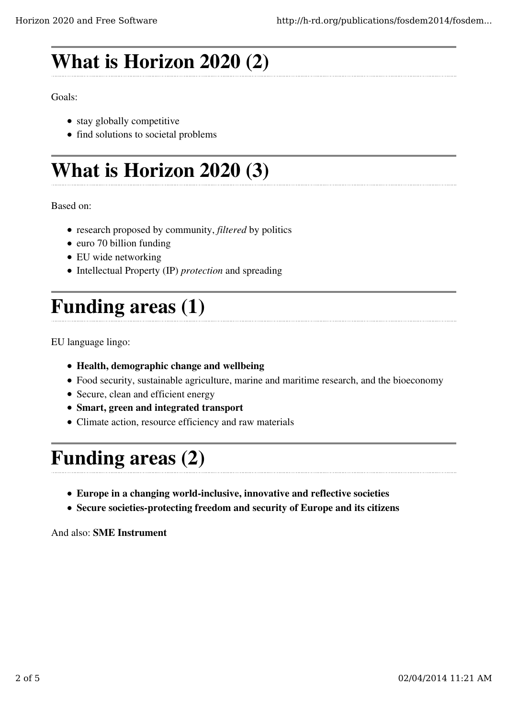# What is Horizon 2020 (2)

Goals:

- stay globally competitive
- find solutions to societal problems

# What is Horizon 2020 (3)

Based on:

- research proposed by community, *filtered* by politics
- euro 70 billion funding
- EU wide networking
- Intellectual Property (IP) *protection* and spreading

# Funding areas (1)

EU language lingo:

- Health, demographic change and wellbeing
- Food security, sustainable agriculture, marine and maritime research, and the bioeconomy
- Secure, clean and efficient energy
- Smart, green and integrated transport
- Climate action, resource efficiency and raw materials

## Funding areas (2)

- Europe in a changing world-inclusive, innovative and reflective societies
- Secure societies-protecting freedom and security of Europe and its citizens

And also: SME Instrument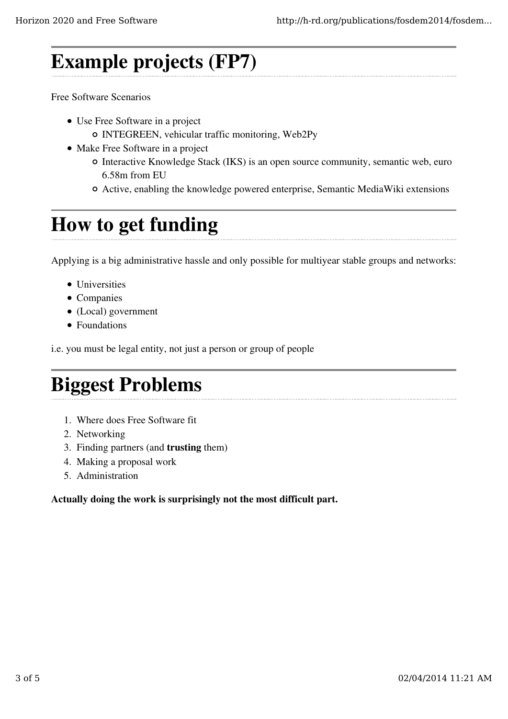### Example projects (FP7)

Free Software Scenarios

- Use Free Software in a project
	- INTEGREEN, vehicular traffic monitoring, Web2Py
- Make Free Software in a project
	- Interactive Knowledge Stack (IKS) is an open source community, semantic web, euro 6.58m from EU
	- Active, enabling the knowledge powered enterprise, Semantic MediaWiki extensions

#### How to get funding

Applying is a big administrative hassle and only possible for multiyear stable groups and networks:

- Universities
- Companies
- (Local) government
- Foundations

i.e. you must be legal entity, not just a person or group of people

### Biggest Problems

- 1. Where does Free Software fit
- 2. Networking
- 3. Finding partners (and trusting them)
- 4. Making a proposal work
- 5. Administration

Actually doing the work is surprisingly not the most difficult part.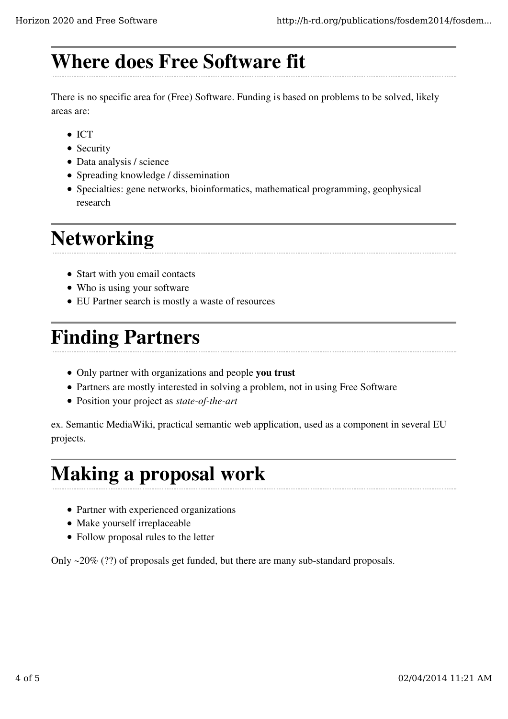### Where does Free Software fit

There is no specific area for (Free) Software. Funding is based on problems to be solved, likely areas are:

- $\bullet$  ICT
- Security
- Data analysis / science
- Spreading knowledge / dissemination
- Specialties: gene networks, bioinformatics, mathematical programming, geophysical research

## **Networking**

- Start with you email contacts
- Who is using your software
- EU Partner search is mostly a waste of resources

### Finding Partners

- Only partner with organizations and people you trust
- Partners are mostly interested in solving a problem, not in using Free Software
- Position your project as *state-of-the-art*

ex. Semantic MediaWiki, practical semantic web application, used as a component in several EU projects.

#### Making a proposal work

- Partner with experienced organizations
- Make yourself irreplaceable
- Follow proposal rules to the letter

Only ~20% (??) of proposals get funded, but there are many sub-standard proposals.